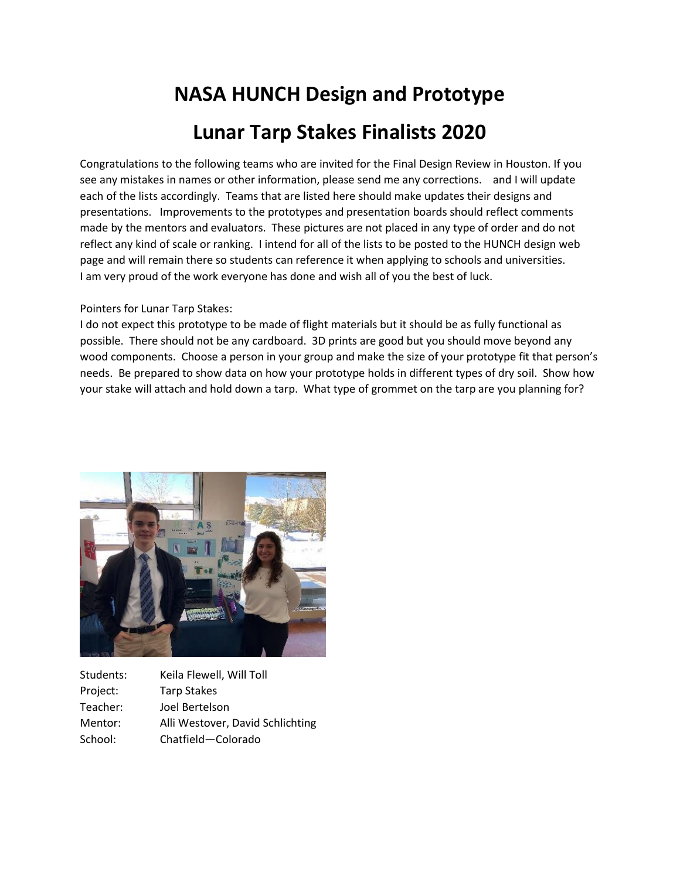## **NASA HUNCH Design and Prototype Lunar Tarp Stakes Finalists 2020**

Congratulations to the following teams who are invited for the Final Design Review in Houston. If you see any mistakes in names or other information, please send me any corrections. and I will update each of the lists accordingly. Teams that are listed here should make updates their designs and presentations. Improvements to the prototypes and presentation boards should reflect comments made by the mentors and evaluators. These pictures are not placed in any type of order and do not reflect any kind of scale or ranking. I intend for all of the lists to be posted to the HUNCH design web page and will remain there so students can reference it when applying to schools and universities. I am very proud of the work everyone has done and wish all of you the best of luck.

## Pointers for Lunar Tarp Stakes:

I do not expect this prototype to be made of flight materials but it should be as fully functional as possible. There should not be any cardboard. 3D prints are good but you should move beyond any wood components. Choose a person in your group and make the size of your prototype fit that person's needs. Be prepared to show data on how your prototype holds in different types of dry soil. Show how your stake will attach and hold down a tarp. What type of grommet on the tarp are you planning for?



Students: Keila Flewell, Will Toll Project: Tarp Stakes Teacher: Joel Bertelson Mentor: Alli Westover, David Schlichting School: Chatfield—Colorado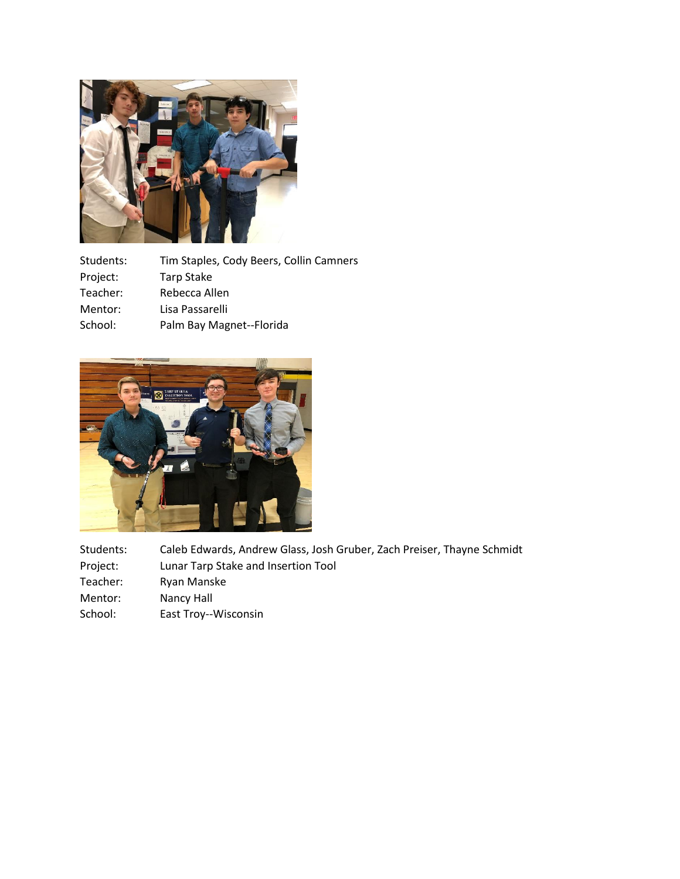

| Students: | Tim Staples, Cody Beers, Collin Camners |
|-----------|-----------------------------------------|
| Project:  | <b>Tarp Stake</b>                       |
| Teacher:  | Rebecca Allen                           |
| Mentor:   | Lisa Passarelli                         |
| School:   | Palm Bay Magnet--Florida                |
|           |                                         |



| Students: | Caleb Edwards, Andrew Glass, Josh Gruber, Zach Preiser, Thayne Schmidt |
|-----------|------------------------------------------------------------------------|
| Project:  | Lunar Tarp Stake and Insertion Tool                                    |
| Teacher:  | Ryan Manske                                                            |
| Mentor:   | Nancy Hall                                                             |
| School:   | East Troy--Wisconsin                                                   |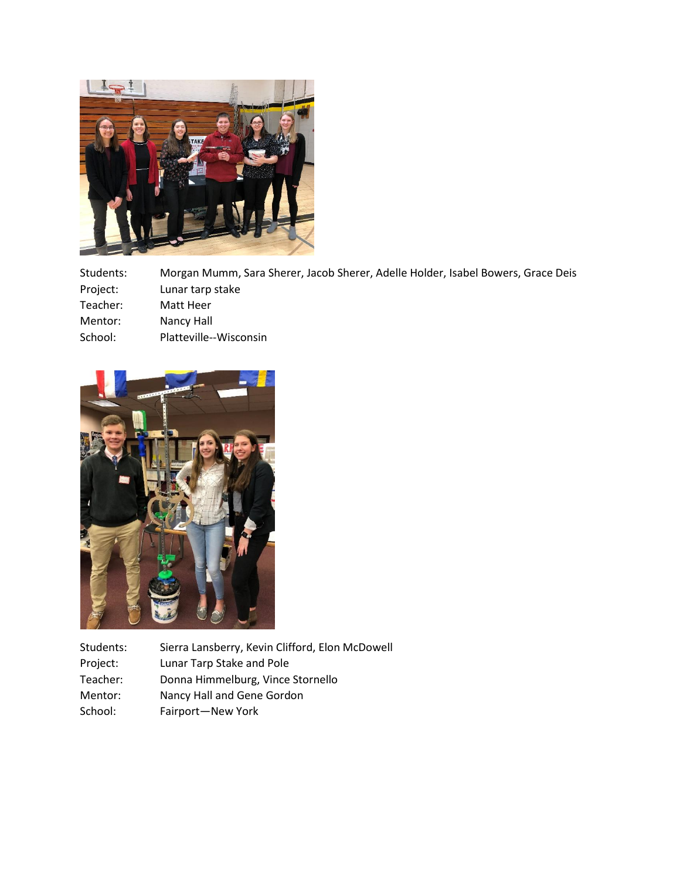

Students: Morgan Mumm, Sara Sherer, Jacob Sherer, Adelle Holder, Isabel Bowers, Grace Deis Project: Lunar tarp stake

- Teacher: Matt Heer
- Mentor: Nancy Hall
- School: Platteville--Wisconsin



Students: Sierra Lansberry, Kevin Clifford, Elon McDowell Project: Lunar Tarp Stake and Pole Teacher: Donna Himmelburg, Vince Stornello Mentor: Nancy Hall and Gene Gordon School: Fairport—New York